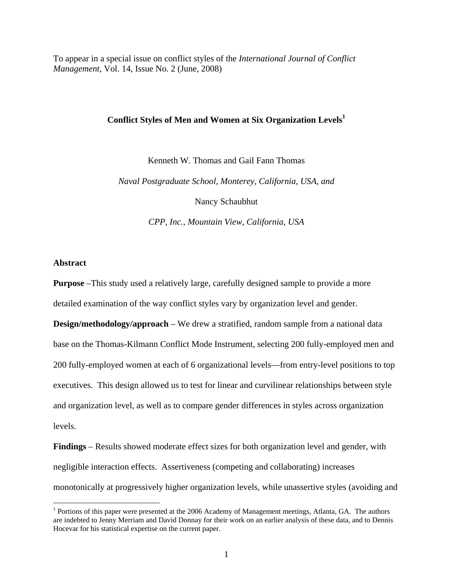To appear in a special issue on conflict styles of the *International Journal of Conflict Management*, Vol. 14, Issue No. 2 (June, 2008)

# **Conflict Styles of Men and Women at Six Organization Levels1**

Kenneth W. Thomas and Gail Fann Thomas

*Naval Postgraduate School, Monterey, California, USA, and* 

Nancy Schaubhut

*CPP, Inc., Mountain View, California, USA*

### **Abstract**

 $\overline{a}$ 

**Purpose** –This study used a relatively large, carefully designed sample to provide a more detailed examination of the way conflict styles vary by organization level and gender.

**Design/methodology/approach** – We drew a stratified, random sample from a national data base on the Thomas-Kilmann Conflict Mode Instrument, selecting 200 fully-employed men and 200 fully-employed women at each of 6 organizational levels—from entry-level positions to top executives. This design allowed us to test for linear and curvilinear relationships between style and organization level, as well as to compare gender differences in styles across organization levels.

**Findings** – Results showed moderate effect sizes for both organization level and gender, with negligible interaction effects. Assertiveness (competing and collaborating) increases monotonically at progressively higher organization levels, while unassertive styles (avoiding and

<sup>&</sup>lt;sup>1</sup> Portions of this paper were presented at the 2006 Academy of Management meetings, Atlanta, GA. The authors are indebted to Jenny Merriam and David Donnay for their work on an earlier analysis of these data, and to Dennis Hocevar for his statistical expertise on the current paper.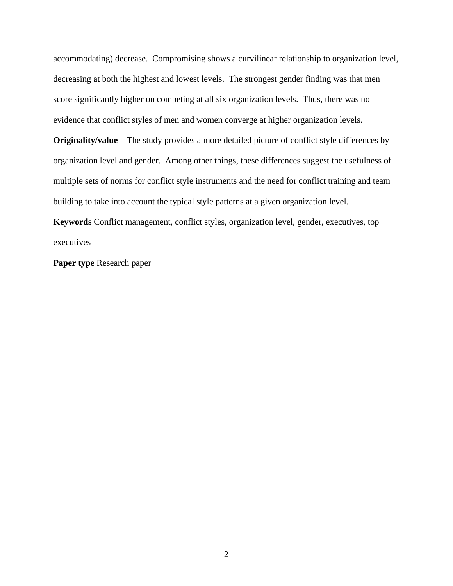accommodating) decrease. Compromising shows a curvilinear relationship to organization level, decreasing at both the highest and lowest levels. The strongest gender finding was that men score significantly higher on competing at all six organization levels. Thus, there was no evidence that conflict styles of men and women converge at higher organization levels.

**Originality/value** – The study provides a more detailed picture of conflict style differences by organization level and gender. Among other things, these differences suggest the usefulness of multiple sets of norms for conflict style instruments and the need for conflict training and team building to take into account the typical style patterns at a given organization level.

**Keywords** Conflict management, conflict styles, organization level, gender, executives, top executives

**Paper type** Research paper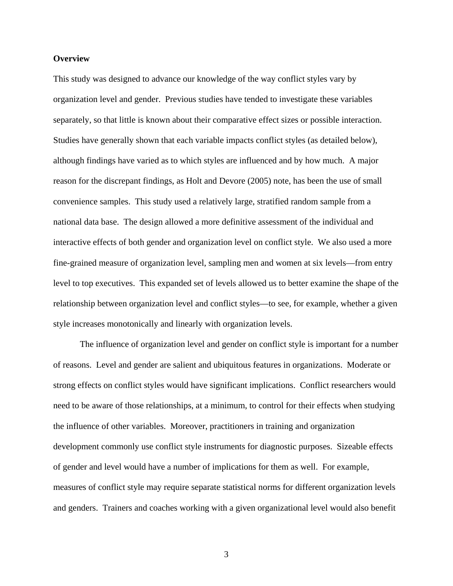# **Overview**

This study was designed to advance our knowledge of the way conflict styles vary by organization level and gender. Previous studies have tended to investigate these variables separately, so that little is known about their comparative effect sizes or possible interaction. Studies have generally shown that each variable impacts conflict styles (as detailed below), although findings have varied as to which styles are influenced and by how much. A major reason for the discrepant findings, as Holt and Devore (2005) note, has been the use of small convenience samples. This study used a relatively large, stratified random sample from a national data base. The design allowed a more definitive assessment of the individual and interactive effects of both gender and organization level on conflict style. We also used a more fine-grained measure of organization level, sampling men and women at six levels—from entry level to top executives. This expanded set of levels allowed us to better examine the shape of the relationship between organization level and conflict styles—to see, for example, whether a given style increases monotonically and linearly with organization levels.

 The influence of organization level and gender on conflict style is important for a number of reasons. Level and gender are salient and ubiquitous features in organizations. Moderate or strong effects on conflict styles would have significant implications. Conflict researchers would need to be aware of those relationships, at a minimum, to control for their effects when studying the influence of other variables. Moreover, practitioners in training and organization development commonly use conflict style instruments for diagnostic purposes. Sizeable effects of gender and level would have a number of implications for them as well. For example, measures of conflict style may require separate statistical norms for different organization levels and genders. Trainers and coaches working with a given organizational level would also benefit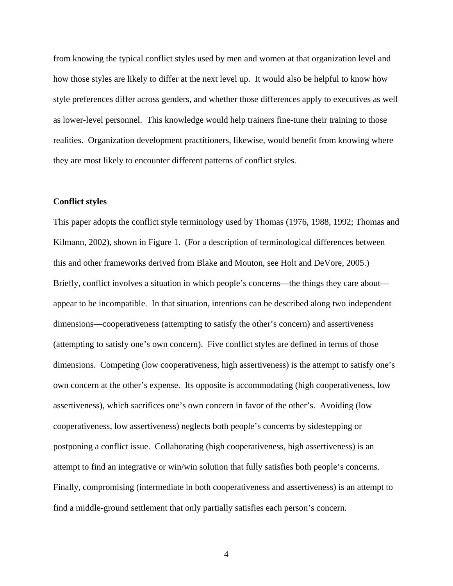from knowing the typical conflict styles used by men and women at that organization level and how those styles are likely to differ at the next level up. It would also be helpful to know how style preferences differ across genders, and whether those differences apply to executives as well as lower-level personnel. This knowledge would help trainers fine-tune their training to those realities. Organization development practitioners, likewise, would benefit from knowing where they are most likely to encounter different patterns of conflict styles.

### **Conflict styles**

This paper adopts the conflict style terminology used by Thomas (1976, 1988, 1992; Thomas and Kilmann, 2002), shown in Figure 1. (For a description of terminological differences between this and other frameworks derived from Blake and Mouton, see Holt and DeVore, 2005.) Briefly, conflict involves a situation in which people's concerns—the things they care about appear to be incompatible. In that situation, intentions can be described along two independent dimensions—cooperativeness (attempting to satisfy the other's concern) and assertiveness (attempting to satisfy one's own concern). Five conflict styles are defined in terms of those dimensions. Competing (low cooperativeness, high assertiveness) is the attempt to satisfy one's own concern at the other's expense. Its opposite is accommodating (high cooperativeness, low assertiveness), which sacrifices one's own concern in favor of the other's. Avoiding (low cooperativeness, low assertiveness) neglects both people's concerns by sidestepping or postponing a conflict issue. Collaborating (high cooperativeness, high assertiveness) is an attempt to find an integrative or win/win solution that fully satisfies both people's concerns. Finally, compromising (intermediate in both cooperativeness and assertiveness) is an attempt to find a middle-ground settlement that only partially satisfies each person's concern.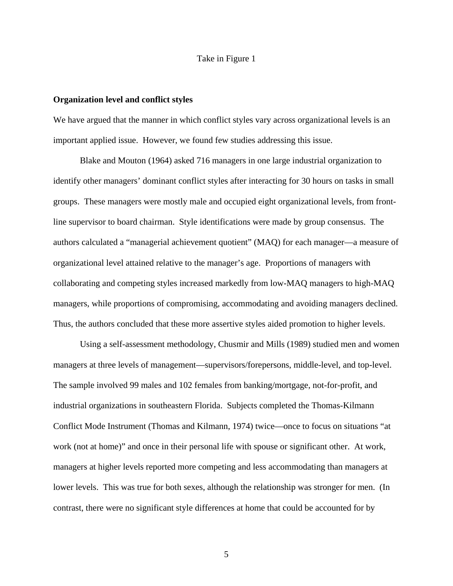# Take in Figure 1

## **Organization level and conflict styles**

We have argued that the manner in which conflict styles vary across organizational levels is an important applied issue. However, we found few studies addressing this issue.

 Blake and Mouton (1964) asked 716 managers in one large industrial organization to identify other managers' dominant conflict styles after interacting for 30 hours on tasks in small groups. These managers were mostly male and occupied eight organizational levels, from frontline supervisor to board chairman. Style identifications were made by group consensus. The authors calculated a "managerial achievement quotient" (MAQ) for each manager—a measure of organizational level attained relative to the manager's age. Proportions of managers with collaborating and competing styles increased markedly from low-MAQ managers to high-MAQ managers, while proportions of compromising, accommodating and avoiding managers declined. Thus, the authors concluded that these more assertive styles aided promotion to higher levels.

 Using a self-assessment methodology, Chusmir and Mills (1989) studied men and women managers at three levels of management—supervisors/forepersons, middle-level, and top-level. The sample involved 99 males and 102 females from banking/mortgage, not-for-profit, and industrial organizations in southeastern Florida. Subjects completed the Thomas-Kilmann Conflict Mode Instrument (Thomas and Kilmann, 1974) twice—once to focus on situations "at work (not at home)" and once in their personal life with spouse or significant other. At work, managers at higher levels reported more competing and less accommodating than managers at lower levels. This was true for both sexes, although the relationship was stronger for men. (In contrast, there were no significant style differences at home that could be accounted for by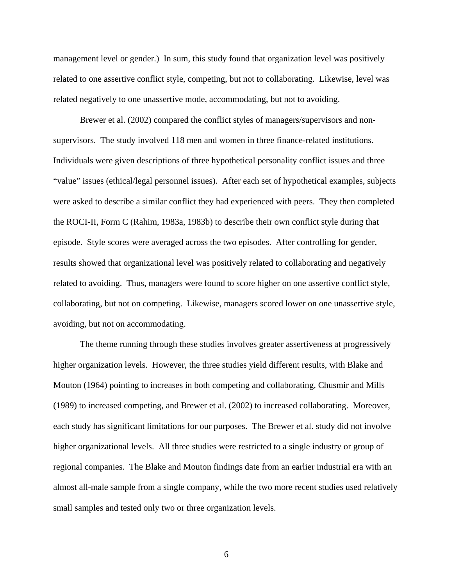management level or gender.) In sum, this study found that organization level was positively related to one assertive conflict style, competing, but not to collaborating. Likewise, level was related negatively to one unassertive mode, accommodating, but not to avoiding.

 Brewer et al. (2002) compared the conflict styles of managers/supervisors and nonsupervisors. The study involved 118 men and women in three finance-related institutions. Individuals were given descriptions of three hypothetical personality conflict issues and three "value" issues (ethical/legal personnel issues). After each set of hypothetical examples, subjects were asked to describe a similar conflict they had experienced with peers. They then completed the ROCI-II, Form C (Rahim, 1983a, 1983b) to describe their own conflict style during that episode. Style scores were averaged across the two episodes. After controlling for gender, results showed that organizational level was positively related to collaborating and negatively related to avoiding. Thus, managers were found to score higher on one assertive conflict style, collaborating, but not on competing. Likewise, managers scored lower on one unassertive style, avoiding, but not on accommodating.

 The theme running through these studies involves greater assertiveness at progressively higher organization levels. However, the three studies yield different results, with Blake and Mouton (1964) pointing to increases in both competing and collaborating, Chusmir and Mills (1989) to increased competing, and Brewer et al. (2002) to increased collaborating. Moreover, each study has significant limitations for our purposes. The Brewer et al. study did not involve higher organizational levels. All three studies were restricted to a single industry or group of regional companies. The Blake and Mouton findings date from an earlier industrial era with an almost all-male sample from a single company, while the two more recent studies used relatively small samples and tested only two or three organization levels.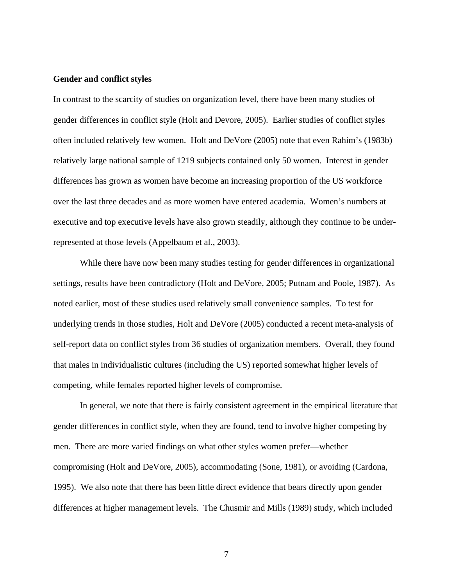# **Gender and conflict styles**

In contrast to the scarcity of studies on organization level, there have been many studies of gender differences in conflict style (Holt and Devore, 2005). Earlier studies of conflict styles often included relatively few women. Holt and DeVore (2005) note that even Rahim's (1983b) relatively large national sample of 1219 subjects contained only 50 women. Interest in gender differences has grown as women have become an increasing proportion of the US workforce over the last three decades and as more women have entered academia. Women's numbers at executive and top executive levels have also grown steadily, although they continue to be underrepresented at those levels (Appelbaum et al., 2003).

 While there have now been many studies testing for gender differences in organizational settings, results have been contradictory (Holt and DeVore, 2005; Putnam and Poole, 1987). As noted earlier, most of these studies used relatively small convenience samples. To test for underlying trends in those studies, Holt and DeVore (2005) conducted a recent meta-analysis of self-report data on conflict styles from 36 studies of organization members. Overall, they found that males in individualistic cultures (including the US) reported somewhat higher levels of competing, while females reported higher levels of compromise.

 In general, we note that there is fairly consistent agreement in the empirical literature that gender differences in conflict style, when they are found, tend to involve higher competing by men. There are more varied findings on what other styles women prefer—whether compromising (Holt and DeVore, 2005), accommodating (Sone, 1981), or avoiding (Cardona, 1995). We also note that there has been little direct evidence that bears directly upon gender differences at higher management levels. The Chusmir and Mills (1989) study, which included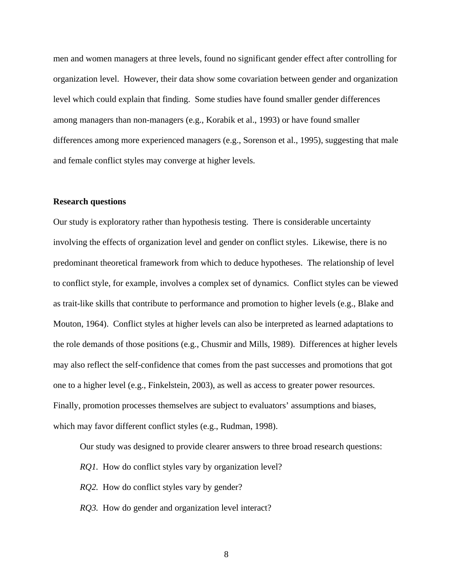men and women managers at three levels, found no significant gender effect after controlling for organization level. However, their data show some covariation between gender and organization level which could explain that finding. Some studies have found smaller gender differences among managers than non-managers (e.g., Korabik et al., 1993) or have found smaller differences among more experienced managers (e.g., Sorenson et al., 1995), suggesting that male and female conflict styles may converge at higher levels.

### **Research questions**

Our study is exploratory rather than hypothesis testing. There is considerable uncertainty involving the effects of organization level and gender on conflict styles. Likewise, there is no predominant theoretical framework from which to deduce hypotheses. The relationship of level to conflict style, for example, involves a complex set of dynamics. Conflict styles can be viewed as trait-like skills that contribute to performance and promotion to higher levels (e.g., Blake and Mouton, 1964). Conflict styles at higher levels can also be interpreted as learned adaptations to the role demands of those positions (e.g., Chusmir and Mills, 1989). Differences at higher levels may also reflect the self-confidence that comes from the past successes and promotions that got one to a higher level (e.g., Finkelstein, 2003), as well as access to greater power resources. Finally, promotion processes themselves are subject to evaluators' assumptions and biases, which may favor different conflict styles (e.g., Rudman, 1998).

Our study was designed to provide clearer answers to three broad research questions:

- *RQ1*. How do conflict styles vary by organization level?
- *RQ2.* How do conflict styles vary by gender?
- *RQ3.* How do gender and organization level interact?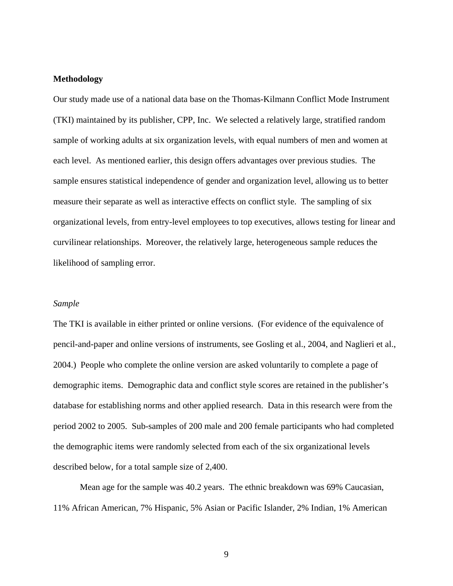# **Methodology**

Our study made use of a national data base on the Thomas-Kilmann Conflict Mode Instrument (TKI) maintained by its publisher, CPP, Inc. We selected a relatively large, stratified random sample of working adults at six organization levels, with equal numbers of men and women at each level. As mentioned earlier, this design offers advantages over previous studies. The sample ensures statistical independence of gender and organization level, allowing us to better measure their separate as well as interactive effects on conflict style. The sampling of six organizational levels, from entry-level employees to top executives, allows testing for linear and curvilinear relationships. Moreover, the relatively large, heterogeneous sample reduces the likelihood of sampling error.

### *Sample*

The TKI is available in either printed or online versions. (For evidence of the equivalence of pencil-and-paper and online versions of instruments, see Gosling et al., 2004, and Naglieri et al., 2004.) People who complete the online version are asked voluntarily to complete a page of demographic items. Demographic data and conflict style scores are retained in the publisher's database for establishing norms and other applied research. Data in this research were from the period 2002 to 2005. Sub-samples of 200 male and 200 female participants who had completed the demographic items were randomly selected from each of the six organizational levels described below, for a total sample size of 2,400.

 Mean age for the sample was 40.2 years. The ethnic breakdown was 69% Caucasian, 11% African American, 7% Hispanic, 5% Asian or Pacific Islander, 2% Indian, 1% American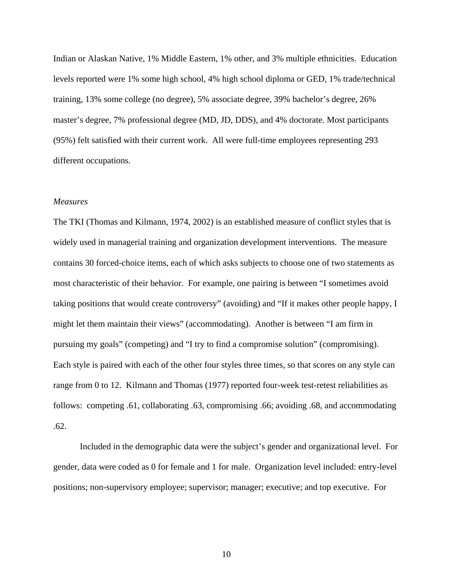Indian or Alaskan Native, 1% Middle Eastern, 1% other, and 3% multiple ethnicities. Education levels reported were 1% some high school, 4% high school diploma or GED, 1% trade/technical training, 13% some college (no degree), 5% associate degree, 39% bachelor's degree, 26% master's degree, 7% professional degree (MD, JD, DDS), and 4% doctorate. Most participants (95%) felt satisfied with their current work. All were full-time employees representing 293 different occupations.

#### *Measures*

The TKI (Thomas and Kilmann, 1974, 2002) is an established measure of conflict styles that is widely used in managerial training and organization development interventions. The measure contains 30 forced-choice items, each of which asks subjects to choose one of two statements as most characteristic of their behavior. For example, one pairing is between "I sometimes avoid taking positions that would create controversy" (avoiding) and "If it makes other people happy, I might let them maintain their views" (accommodating). Another is between "I am firm in pursuing my goals" (competing) and "I try to find a compromise solution" (compromising). Each style is paired with each of the other four styles three times, so that scores on any style can range from 0 to 12. Kilmann and Thomas (1977) reported four-week test-retest reliabilities as follows: competing .61, collaborating .63, compromising .66; avoiding .68, and accommodating .62.

 Included in the demographic data were the subject's gender and organizational level. For gender, data were coded as 0 for female and 1 for male. Organization level included: entry-level positions; non-supervisory employee; supervisor; manager; executive; and top executive. For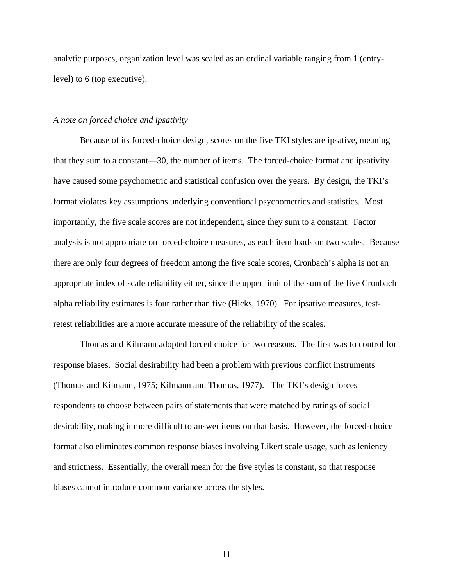analytic purposes, organization level was scaled as an ordinal variable ranging from 1 (entrylevel) to 6 (top executive).

## *A note on forced choice and ipsativity*

 Because of its forced-choice design, scores on the five TKI styles are ipsative, meaning that they sum to a constant—30, the number of items. The forced-choice format and ipsativity have caused some psychometric and statistical confusion over the years. By design, the TKI's format violates key assumptions underlying conventional psychometrics and statistics. Most importantly, the five scale scores are not independent, since they sum to a constant. Factor analysis is not appropriate on forced-choice measures, as each item loads on two scales. Because there are only four degrees of freedom among the five scale scores, Cronbach's alpha is not an appropriate index of scale reliability either, since the upper limit of the sum of the five Cronbach alpha reliability estimates is four rather than five (Hicks, 1970). For ipsative measures, testretest reliabilities are a more accurate measure of the reliability of the scales.

 Thomas and Kilmann adopted forced choice for two reasons. The first was to control for response biases. Social desirability had been a problem with previous conflict instruments (Thomas and Kilmann, 1975; Kilmann and Thomas, 1977). The TKI's design forces respondents to choose between pairs of statements that were matched by ratings of social desirability, making it more difficult to answer items on that basis. However, the forced-choice format also eliminates common response biases involving Likert scale usage, such as leniency and strictness. Essentially, the overall mean for the five styles is constant, so that response biases cannot introduce common variance across the styles.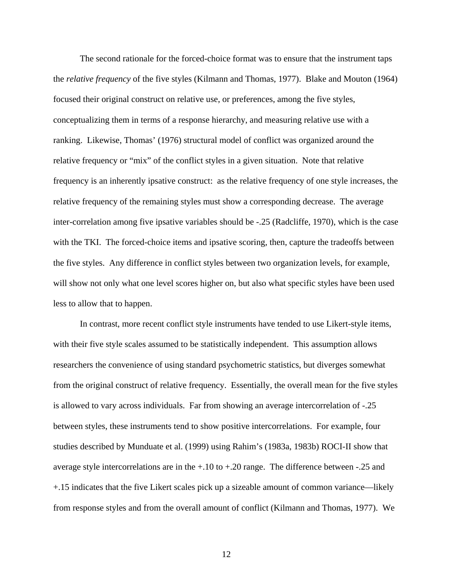The second rationale for the forced-choice format was to ensure that the instrument taps the *relative frequency* of the five styles (Kilmann and Thomas, 1977). Blake and Mouton (1964) focused their original construct on relative use, or preferences, among the five styles, conceptualizing them in terms of a response hierarchy, and measuring relative use with a ranking. Likewise, Thomas' (1976) structural model of conflict was organized around the relative frequency or "mix" of the conflict styles in a given situation. Note that relative frequency is an inherently ipsative construct: as the relative frequency of one style increases, the relative frequency of the remaining styles must show a corresponding decrease. The average inter-correlation among five ipsative variables should be -.25 (Radcliffe, 1970), which is the case with the TKI. The forced-choice items and ipsative scoring, then, capture the tradeoffs between the five styles. Any difference in conflict styles between two organization levels, for example, will show not only what one level scores higher on, but also what specific styles have been used less to allow that to happen.

 In contrast, more recent conflict style instruments have tended to use Likert-style items, with their five style scales assumed to be statistically independent. This assumption allows researchers the convenience of using standard psychometric statistics, but diverges somewhat from the original construct of relative frequency. Essentially, the overall mean for the five styles is allowed to vary across individuals. Far from showing an average intercorrelation of -.25 between styles, these instruments tend to show positive intercorrelations. For example, four studies described by Munduate et al. (1999) using Rahim's (1983a, 1983b) ROCI-II show that average style intercorrelations are in the +.10 to +.20 range. The difference between -.25 and +.15 indicates that the five Likert scales pick up a sizeable amount of common variance—likely from response styles and from the overall amount of conflict (Kilmann and Thomas, 1977). We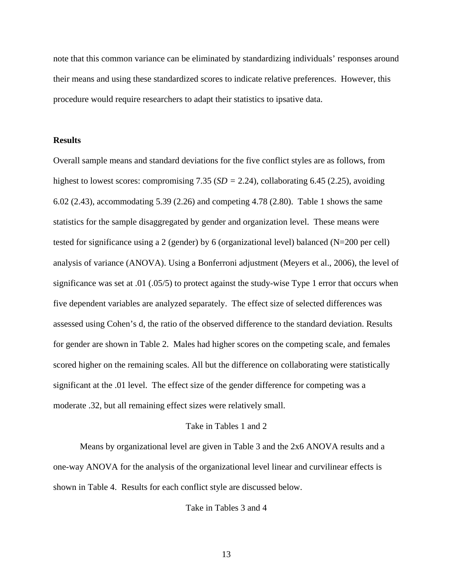note that this common variance can be eliminated by standardizing individuals' responses around their means and using these standardized scores to indicate relative preferences. However, this procedure would require researchers to adapt their statistics to ipsative data.

# **Results**

Overall sample means and standard deviations for the five conflict styles are as follows, from highest to lowest scores: compromising 7.35 (*SD =* 2.24), collaborating 6.45 (2.25), avoiding 6.02 (2.43), accommodating 5.39 (2.26) and competing 4.78 (2.80). Table 1 shows the same statistics for the sample disaggregated by gender and organization level. These means were tested for significance using a 2 (gender) by 6 (organizational level) balanced (N=200 per cell) analysis of variance (ANOVA). Using a Bonferroni adjustment (Meyers et al., 2006), the level of significance was set at .01 (.05/5) to protect against the study-wise Type 1 error that occurs when five dependent variables are analyzed separately. The effect size of selected differences was assessed using Cohen's d, the ratio of the observed difference to the standard deviation. Results for gender are shown in Table 2. Males had higher scores on the competing scale, and females scored higher on the remaining scales. All but the difference on collaborating were statistically significant at the .01 level. The effect size of the gender difference for competing was a moderate .32, but all remaining effect sizes were relatively small.

## Take in Tables 1 and 2

 Means by organizational level are given in Table 3 and the 2x6 ANOVA results and a one-way ANOVA for the analysis of the organizational level linear and curvilinear effects is shown in Table 4. Results for each conflict style are discussed below.

Take in Tables 3 and 4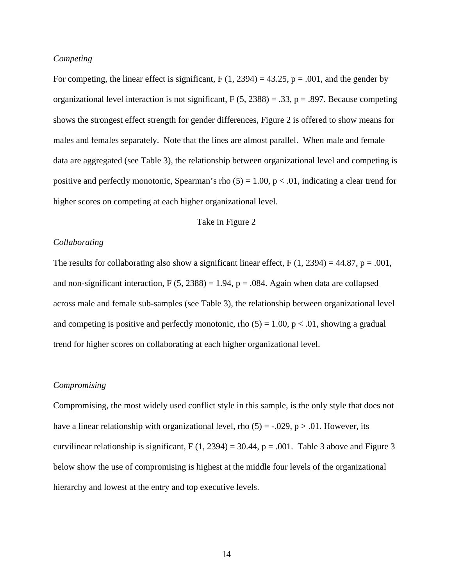# *Competing*

For competing, the linear effect is significant, F  $(1, 2394) = 43.25$ , p = .001, and the gender by organizational level interaction is not significant,  $F(5, 2388) = .33$ ,  $p = .897$ . Because competing shows the strongest effect strength for gender differences, Figure 2 is offered to show means for males and females separately. Note that the lines are almost parallel. When male and female data are aggregated (see Table 3), the relationship between organizational level and competing is positive and perfectly monotonic, Spearman's rho  $(5) = 1.00$ ,  $p < .01$ , indicating a clear trend for higher scores on competing at each higher organizational level.

# Take in Figure 2

### *Collaborating*

The results for collaborating also show a significant linear effect,  $F(1, 2394) = 44.87$ ,  $p = .001$ , and non-significant interaction, F  $(5, 2388) = 1.94$ , p = .084. Again when data are collapsed across male and female sub-samples (see Table 3), the relationship between organizational level and competing is positive and perfectly monotonic, rho  $(5) = 1.00$ ,  $p < .01$ , showing a gradual trend for higher scores on collaborating at each higher organizational level.

# *Compromising*

Compromising, the most widely used conflict style in this sample, is the only style that does not have a linear relationship with organizational level, rho  $(5) = -0.029$ , p  $> 0.01$ . However, its curvilinear relationship is significant,  $F(1, 2394) = 30.44$ ,  $p = .001$ . Table 3 above and Figure 3 below show the use of compromising is highest at the middle four levels of the organizational hierarchy and lowest at the entry and top executive levels.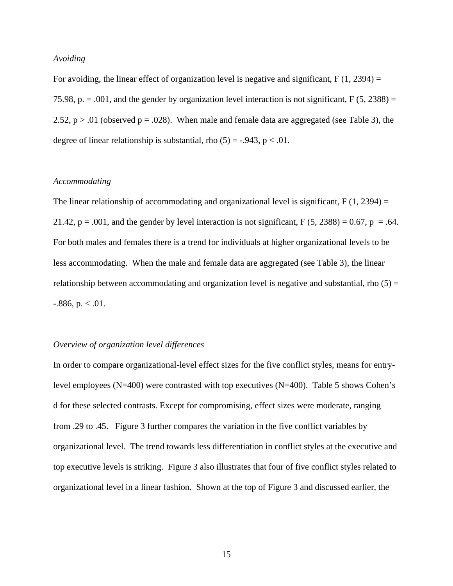# *Avoiding*

For avoiding, the linear effect of organization level is negative and significant,  $F(1, 2394) =$ 75.98, p.  $= .001$ , and the gender by organization level interaction is not significant,  $F(5, 2388) =$ 2.52,  $p > .01$  (observed  $p = .028$ ). When male and female data are aggregated (see Table 3), the degree of linear relationship is substantial, rho  $(5) = -0.943$ , p < .01.

## *Accommodating*

The linear relationship of accommodating and organizational level is significant,  $F(1, 2394) =$ 21.42,  $p = .001$ , and the gender by level interaction is not significant, F (5, 2388) = 0.67,  $p = .64$ . For both males and females there is a trend for individuals at higher organizational levels to be less accommodating. When the male and female data are aggregated (see Table 3), the linear relationship between accommodating and organization level is negative and substantial, rho  $(5)$  =  $-0.886$ , p.  $< 0.01$ .

# *Overview of organization level differences*

In order to compare organizational-level effect sizes for the five conflict styles, means for entrylevel employees (N=400) were contrasted with top executives (N=400). Table 5 shows Cohen's d for these selected contrasts. Except for compromising, effect sizes were moderate, ranging from .29 to .45. Figure 3 further compares the variation in the five conflict variables by organizational level. The trend towards less differentiation in conflict styles at the executive and top executive levels is striking. Figure 3 also illustrates that four of five conflict styles related to organizational level in a linear fashion. Shown at the top of Figure 3 and discussed earlier, the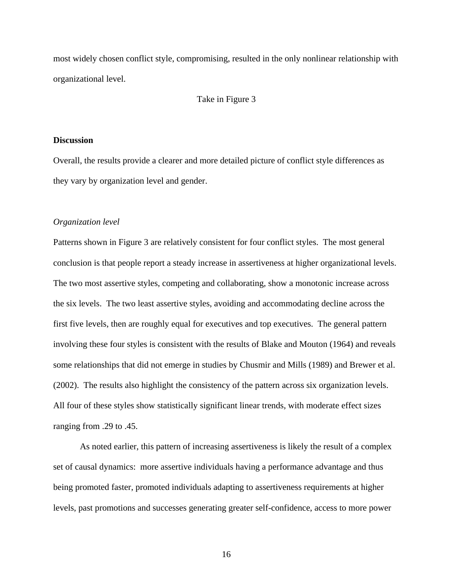most widely chosen conflict style, compromising, resulted in the only nonlinear relationship with organizational level.

## Take in Figure 3

## **Discussion**

Overall, the results provide a clearer and more detailed picture of conflict style differences as they vary by organization level and gender.

# *Organization level*

Patterns shown in Figure 3 are relatively consistent for four conflict styles. The most general conclusion is that people report a steady increase in assertiveness at higher organizational levels. The two most assertive styles, competing and collaborating, show a monotonic increase across the six levels. The two least assertive styles, avoiding and accommodating decline across the first five levels, then are roughly equal for executives and top executives. The general pattern involving these four styles is consistent with the results of Blake and Mouton (1964) and reveals some relationships that did not emerge in studies by Chusmir and Mills (1989) and Brewer et al. (2002). The results also highlight the consistency of the pattern across six organization levels. All four of these styles show statistically significant linear trends, with moderate effect sizes ranging from .29 to .45.

 As noted earlier, this pattern of increasing assertiveness is likely the result of a complex set of causal dynamics: more assertive individuals having a performance advantage and thus being promoted faster, promoted individuals adapting to assertiveness requirements at higher levels, past promotions and successes generating greater self-confidence, access to more power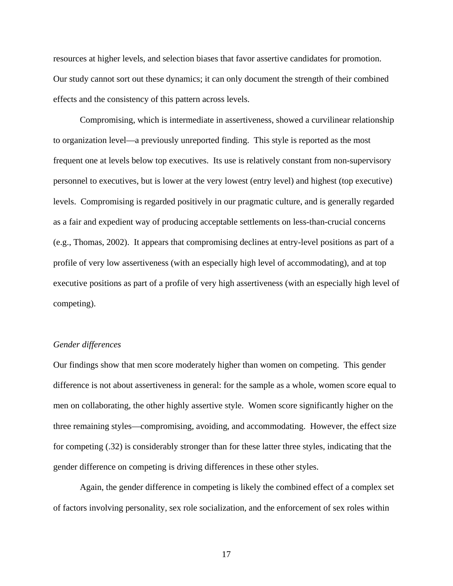resources at higher levels, and selection biases that favor assertive candidates for promotion. Our study cannot sort out these dynamics; it can only document the strength of their combined effects and the consistency of this pattern across levels.

 Compromising, which is intermediate in assertiveness, showed a curvilinear relationship to organization level—a previously unreported finding. This style is reported as the most frequent one at levels below top executives. Its use is relatively constant from non-supervisory personnel to executives, but is lower at the very lowest (entry level) and highest (top executive) levels. Compromising is regarded positively in our pragmatic culture, and is generally regarded as a fair and expedient way of producing acceptable settlements on less-than-crucial concerns (e.g., Thomas, 2002). It appears that compromising declines at entry-level positions as part of a profile of very low assertiveness (with an especially high level of accommodating), and at top executive positions as part of a profile of very high assertiveness (with an especially high level of competing).

# *Gender differences*

Our findings show that men score moderately higher than women on competing. This gender difference is not about assertiveness in general: for the sample as a whole, women score equal to men on collaborating, the other highly assertive style. Women score significantly higher on the three remaining styles—compromising, avoiding, and accommodating. However, the effect size for competing (.32) is considerably stronger than for these latter three styles, indicating that the gender difference on competing is driving differences in these other styles.

 Again, the gender difference in competing is likely the combined effect of a complex set of factors involving personality, sex role socialization, and the enforcement of sex roles within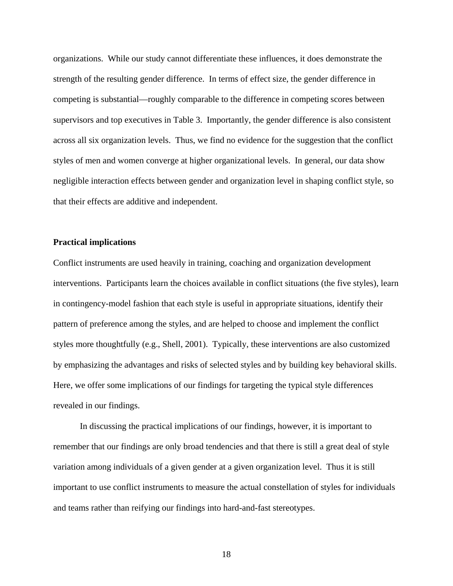organizations. While our study cannot differentiate these influences, it does demonstrate the strength of the resulting gender difference. In terms of effect size, the gender difference in competing is substantial—roughly comparable to the difference in competing scores between supervisors and top executives in Table 3. Importantly, the gender difference is also consistent across all six organization levels. Thus, we find no evidence for the suggestion that the conflict styles of men and women converge at higher organizational levels. In general, our data show negligible interaction effects between gender and organization level in shaping conflict style, so that their effects are additive and independent.

#### **Practical implications**

Conflict instruments are used heavily in training, coaching and organization development interventions. Participants learn the choices available in conflict situations (the five styles), learn in contingency-model fashion that each style is useful in appropriate situations, identify their pattern of preference among the styles, and are helped to choose and implement the conflict styles more thoughtfully (e.g., Shell, 2001). Typically, these interventions are also customized by emphasizing the advantages and risks of selected styles and by building key behavioral skills. Here, we offer some implications of our findings for targeting the typical style differences revealed in our findings.

 In discussing the practical implications of our findings, however, it is important to remember that our findings are only broad tendencies and that there is still a great deal of style variation among individuals of a given gender at a given organization level. Thus it is still important to use conflict instruments to measure the actual constellation of styles for individuals and teams rather than reifying our findings into hard-and-fast stereotypes.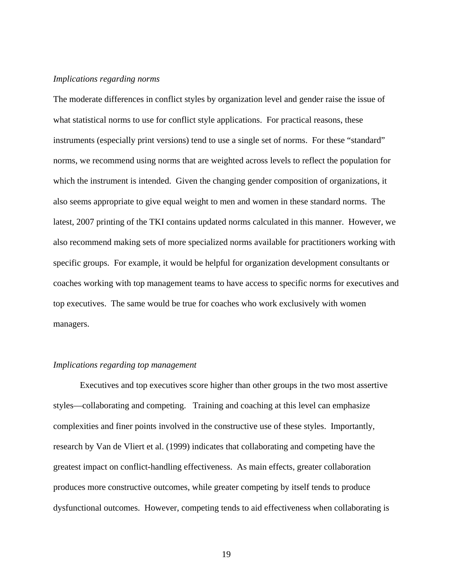#### *Implications regarding norms*

The moderate differences in conflict styles by organization level and gender raise the issue of what statistical norms to use for conflict style applications. For practical reasons, these instruments (especially print versions) tend to use a single set of norms. For these "standard" norms, we recommend using norms that are weighted across levels to reflect the population for which the instrument is intended. Given the changing gender composition of organizations, it also seems appropriate to give equal weight to men and women in these standard norms. The latest, 2007 printing of the TKI contains updated norms calculated in this manner. However, we also recommend making sets of more specialized norms available for practitioners working with specific groups. For example, it would be helpful for organization development consultants or coaches working with top management teams to have access to specific norms for executives and top executives. The same would be true for coaches who work exclusively with women managers.

#### *Implications regarding top management*

 Executives and top executives score higher than other groups in the two most assertive styles—collaborating and competing. Training and coaching at this level can emphasize complexities and finer points involved in the constructive use of these styles. Importantly, research by Van de Vliert et al. (1999) indicates that collaborating and competing have the greatest impact on conflict-handling effectiveness. As main effects, greater collaboration produces more constructive outcomes, while greater competing by itself tends to produce dysfunctional outcomes. However, competing tends to aid effectiveness when collaborating is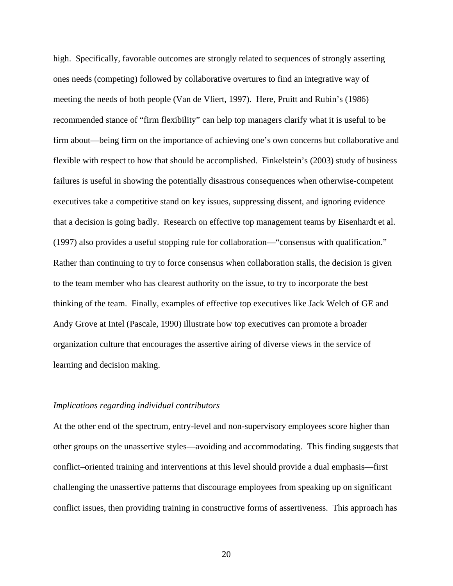high. Specifically, favorable outcomes are strongly related to sequences of strongly asserting ones needs (competing) followed by collaborative overtures to find an integrative way of meeting the needs of both people (Van de Vliert, 1997). Here, Pruitt and Rubin's (1986) recommended stance of "firm flexibility" can help top managers clarify what it is useful to be firm about—being firm on the importance of achieving one's own concerns but collaborative and flexible with respect to how that should be accomplished. Finkelstein's (2003) study of business failures is useful in showing the potentially disastrous consequences when otherwise-competent executives take a competitive stand on key issues, suppressing dissent, and ignoring evidence that a decision is going badly. Research on effective top management teams by Eisenhardt et al. (1997) also provides a useful stopping rule for collaboration—"consensus with qualification." Rather than continuing to try to force consensus when collaboration stalls, the decision is given to the team member who has clearest authority on the issue, to try to incorporate the best thinking of the team. Finally, examples of effective top executives like Jack Welch of GE and Andy Grove at Intel (Pascale, 1990) illustrate how top executives can promote a broader organization culture that encourages the assertive airing of diverse views in the service of learning and decision making.

#### *Implications regarding individual contributors*

At the other end of the spectrum, entry-level and non-supervisory employees score higher than other groups on the unassertive styles—avoiding and accommodating. This finding suggests that conflict–oriented training and interventions at this level should provide a dual emphasis—first challenging the unassertive patterns that discourage employees from speaking up on significant conflict issues, then providing training in constructive forms of assertiveness. This approach has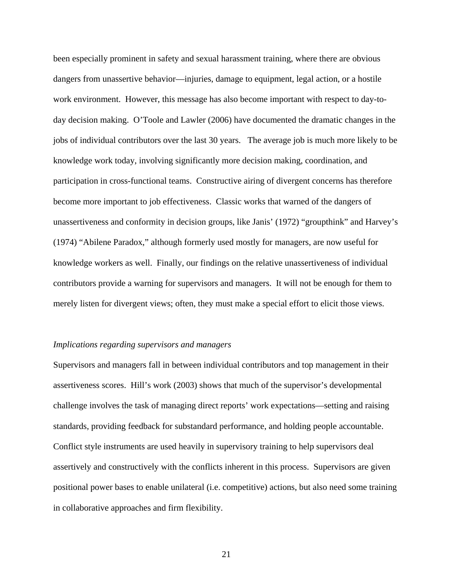been especially prominent in safety and sexual harassment training, where there are obvious dangers from unassertive behavior—injuries, damage to equipment, legal action, or a hostile work environment. However, this message has also become important with respect to day-today decision making. O'Toole and Lawler (2006) have documented the dramatic changes in the jobs of individual contributors over the last 30 years. The average job is much more likely to be knowledge work today, involving significantly more decision making, coordination, and participation in cross-functional teams. Constructive airing of divergent concerns has therefore become more important to job effectiveness. Classic works that warned of the dangers of unassertiveness and conformity in decision groups, like Janis' (1972) "groupthink" and Harvey's (1974) "Abilene Paradox," although formerly used mostly for managers, are now useful for knowledge workers as well. Finally, our findings on the relative unassertiveness of individual contributors provide a warning for supervisors and managers. It will not be enough for them to merely listen for divergent views; often, they must make a special effort to elicit those views.

#### *Implications regarding supervisors and managers*

Supervisors and managers fall in between individual contributors and top management in their assertiveness scores. Hill's work (2003) shows that much of the supervisor's developmental challenge involves the task of managing direct reports' work expectations—setting and raising standards, providing feedback for substandard performance, and holding people accountable. Conflict style instruments are used heavily in supervisory training to help supervisors deal assertively and constructively with the conflicts inherent in this process. Supervisors are given positional power bases to enable unilateral (i.e. competitive) actions, but also need some training in collaborative approaches and firm flexibility.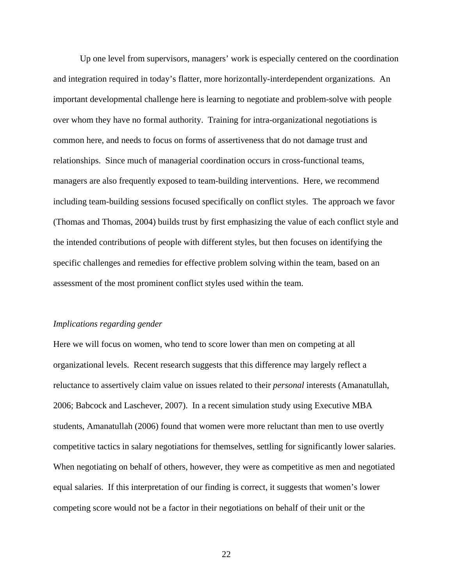Up one level from supervisors, managers' work is especially centered on the coordination and integration required in today's flatter, more horizontally-interdependent organizations. An important developmental challenge here is learning to negotiate and problem-solve with people over whom they have no formal authority. Training for intra-organizational negotiations is common here, and needs to focus on forms of assertiveness that do not damage trust and relationships. Since much of managerial coordination occurs in cross-functional teams, managers are also frequently exposed to team-building interventions. Here, we recommend including team-building sessions focused specifically on conflict styles. The approach we favor (Thomas and Thomas, 2004) builds trust by first emphasizing the value of each conflict style and the intended contributions of people with different styles, but then focuses on identifying the specific challenges and remedies for effective problem solving within the team, based on an assessment of the most prominent conflict styles used within the team.

#### *Implications regarding gender*

Here we will focus on women, who tend to score lower than men on competing at all organizational levels. Recent research suggests that this difference may largely reflect a reluctance to assertively claim value on issues related to their *personal* interests (Amanatullah, 2006; Babcock and Laschever, 2007). In a recent simulation study using Executive MBA students, Amanatullah (2006) found that women were more reluctant than men to use overtly competitive tactics in salary negotiations for themselves, settling for significantly lower salaries. When negotiating on behalf of others, however, they were as competitive as men and negotiated equal salaries. If this interpretation of our finding is correct, it suggests that women's lower competing score would not be a factor in their negotiations on behalf of their unit or the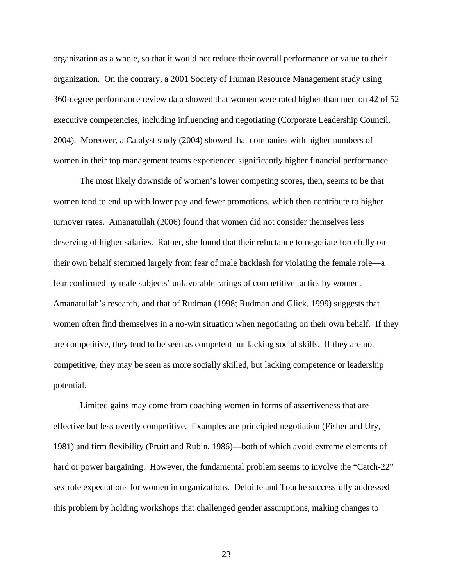organization as a whole, so that it would not reduce their overall performance or value to their organization. On the contrary, a 2001 Society of Human Resource Management study using 360-degree performance review data showed that women were rated higher than men on 42 of 52 executive competencies, including influencing and negotiating (Corporate Leadership Council, 2004). Moreover, a Catalyst study (2004) showed that companies with higher numbers of women in their top management teams experienced significantly higher financial performance.

 The most likely downside of women's lower competing scores, then, seems to be that women tend to end up with lower pay and fewer promotions, which then contribute to higher turnover rates. Amanatullah (2006) found that women did not consider themselves less deserving of higher salaries. Rather, she found that their reluctance to negotiate forcefully on their own behalf stemmed largely from fear of male backlash for violating the female role—a fear confirmed by male subjects' unfavorable ratings of competitive tactics by women. Amanatullah's research, and that of Rudman (1998; Rudman and Glick, 1999) suggests that women often find themselves in a no-win situation when negotiating on their own behalf. If they are competitive, they tend to be seen as competent but lacking social skills. If they are not competitive, they may be seen as more socially skilled, but lacking competence or leadership potential.

 Limited gains may come from coaching women in forms of assertiveness that are effective but less overtly competitive. Examples are principled negotiation (Fisher and Ury, 1981) and firm flexibility (Pruitt and Rubin, 1986)—both of which avoid extreme elements of hard or power bargaining. However, the fundamental problem seems to involve the "Catch-22" sex role expectations for women in organizations. Deloitte and Touche successfully addressed this problem by holding workshops that challenged gender assumptions, making changes to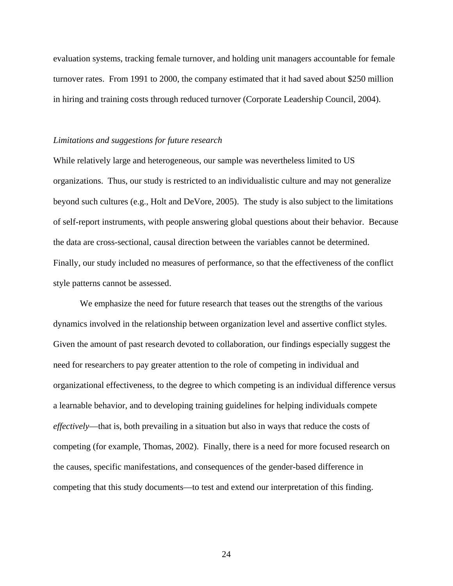evaluation systems, tracking female turnover, and holding unit managers accountable for female turnover rates. From 1991 to 2000, the company estimated that it had saved about \$250 million in hiring and training costs through reduced turnover (Corporate Leadership Council, 2004).

#### *Limitations and suggestions for future research*

While relatively large and heterogeneous, our sample was nevertheless limited to US organizations. Thus, our study is restricted to an individualistic culture and may not generalize beyond such cultures (e.g., Holt and DeVore, 2005). The study is also subject to the limitations of self-report instruments, with people answering global questions about their behavior. Because the data are cross-sectional, causal direction between the variables cannot be determined. Finally, our study included no measures of performance, so that the effectiveness of the conflict style patterns cannot be assessed.

 We emphasize the need for future research that teases out the strengths of the various dynamics involved in the relationship between organization level and assertive conflict styles. Given the amount of past research devoted to collaboration, our findings especially suggest the need for researchers to pay greater attention to the role of competing in individual and organizational effectiveness, to the degree to which competing is an individual difference versus a learnable behavior, and to developing training guidelines for helping individuals compete *effectively*—that is, both prevailing in a situation but also in ways that reduce the costs of competing (for example, Thomas, 2002). Finally, there is a need for more focused research on the causes, specific manifestations, and consequences of the gender-based difference in competing that this study documents—to test and extend our interpretation of this finding.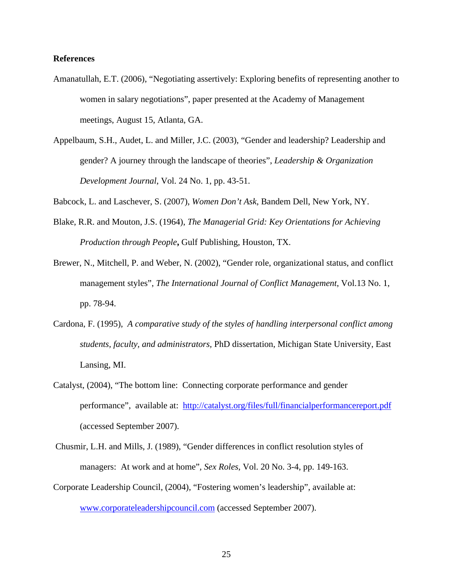# **References**

- Amanatullah, E.T. (2006), "Negotiating assertively: Exploring benefits of representing another to women in salary negotiations", paper presented at the Academy of Management meetings, August 15, Atlanta, GA.
- Appelbaum, S.H., Audet, L. and Miller, J.C. (2003), "Gender and leadership? Leadership and gender? A journey through the landscape of theories", *Leadership & Organization Development Journal*, Vol. 24 No. 1, pp. 43-51.

Babcock, L. and Laschever, S. (2007), *Women Don't Ask*, Bandem Dell, New York, NY.

- Blake, R.R. and Mouton, J.S. (1964), *The Managerial Grid: Key Orientations for Achieving Production through People***,** Gulf Publishing, Houston, TX.
- Brewer, N., Mitchell, P. and Weber, N. (2002), "Gender role, organizational status, and conflict management styles", *The International Journal of Conflict Management*, Vol.13 No. 1, pp. 78-94.
- Cardona, F. (1995), *A comparative study of the styles of handling interpersonal conflict among students, faculty, and administrators,* PhD dissertation, Michigan State University, East Lansing, MI.
- Catalyst, (2004), "The bottom line: Connecting corporate performance and gender performance", available at: http://catalyst.org/files/full/financialperformancereport.pdf (accessed September 2007).
- Chusmir, L.H. and Mills, J. (1989), "Gender differences in conflict resolution styles of managers: At work and at home"*, Sex Roles*, Vol. 20 No. 3-4, pp. 149-163.
- Corporate Leadership Council, (2004), "Fostering women's leadership", available at: www.corporateleadershipcouncil.com (accessed September 2007).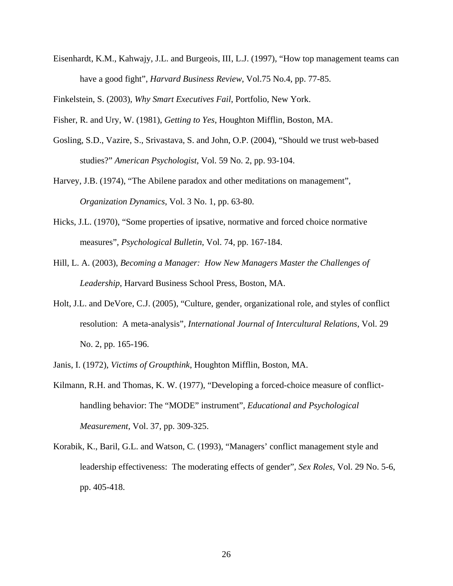Eisenhardt, K.M., Kahwajy, J.L. and Burgeois, III, L.J. (1997), "How top management teams can have a good fight", *Harvard Business Review*, Vol.75 No.4, pp. 77-85.

Finkelstein, S. (2003), *Why Smart Executives Fail*, Portfolio, New York.

Fisher, R. and Ury, W. (1981), *Getting to Yes*, Houghton Mifflin, Boston, MA.

- Gosling, S.D., Vazire, S., Srivastava, S. and John, O.P. (2004), "Should we trust web-based studies?" *American Psychologist*, Vol. 59 No. 2, pp. 93-104.
- Harvey, J.B. (1974), "The Abilene paradox and other meditations on management", *Organization Dynamics*, Vol. 3 No. 1, pp. 63-80.
- Hicks, J.L. (1970), "Some properties of ipsative, normative and forced choice normative measures", *Psychological Bulletin*, Vol. 74, pp. 167-184.
- Hill, L. A. (2003), *Becoming a Manager: How New Managers Master the Challenges of Leadership*, Harvard Business School Press, Boston, MA.
- Holt, J.L. and DeVore, C.J. (2005), "Culture, gender, organizational role, and styles of conflict resolution: A meta-analysis"*, International Journal of Intercultural Relations*, Vol. 29 No. 2, pp. 165-196.
- Janis, I. (1972), *Victims of Groupthink*, Houghton Mifflin, Boston, MA.
- Kilmann, R.H. and Thomas, K. W. (1977), "Developing a forced-choice measure of conflicthandling behavior: The "MODE" instrument"*, Educational and Psychological Measurement*, Vol. 37, pp. 309-325.
- Korabik, K., Baril, G.L. and Watson, C. (1993), "Managers' conflict management style and leadership effectiveness: The moderating effects of gender"*, Sex Roles*, Vol. 29 No. 5-6, pp. 405-418.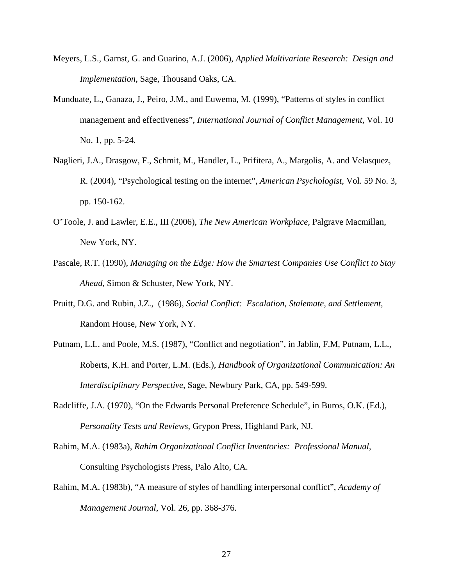- Meyers, L.S., Garnst, G. and Guarino, A.J. (2006), *Applied Multivariate Research: Design and Implementation*, Sage, Thousand Oaks, CA.
- Munduate, L., Ganaza, J., Peiro, J.M., and Euwema, M. (1999), "Patterns of styles in conflict management and effectiveness", *International Journal of Conflict Management,* Vol. 10 No. 1, pp. 5-24.
- Naglieri, J.A., Drasgow, F., Schmit, M., Handler, L., Prifitera, A., Margolis, A. and Velasquez, R. (2004), "Psychological testing on the internet", *American Psychologist*, Vol. 59 No. 3, pp. 150-162.
- O'Toole, J. and Lawler, E.E., III (2006), *The New American Workplace,* Palgrave Macmillan, New York, NY.
- Pascale, R.T. (1990), *Managing on the Edge: How the Smartest Companies Use Conflict to Stay Ahead*, Simon & Schuster, New York, NY.
- Pruitt, D.G. and Rubin, J.Z., (1986), *Social Conflict: Escalation, Stalemate, and Settlement*, Random House, New York, NY.
- Putnam, L.L. and Poole, M.S. (1987), "Conflict and negotiation", in Jablin, F.M, Putnam, L.L., Roberts, K.H. and Porter, L.M. (Eds.), *Handbook of Organizational Communication: An Interdisciplinary Perspective*, Sage, Newbury Park, CA, pp. 549-599.
- Radcliffe, J.A. (1970), "On the Edwards Personal Preference Schedule", in Buros, O.K. (Ed.), *Personality Tests and Reviews*, Grypon Press, Highland Park, NJ.
- Rahim, M.A. (1983a), *Rahim Organizational Conflict Inventories: Professional Manual,*  Consulting Psychologists Press, Palo Alto, CA.
- Rahim, M.A. (1983b), "A measure of styles of handling interpersonal conflict", *Academy of Management Journal*, Vol. 26, pp. 368-376.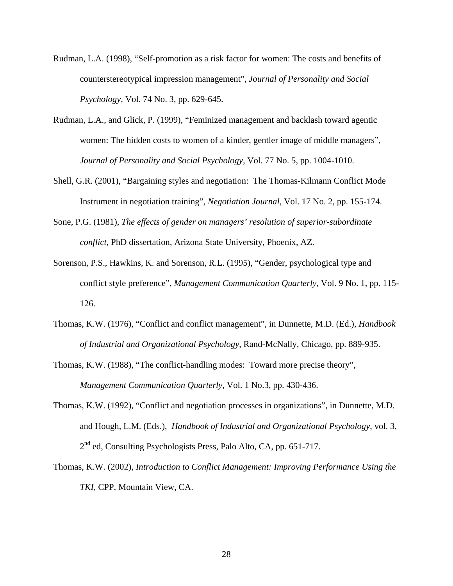- Rudman, L.A. (1998), "Self-promotion as a risk factor for women: The costs and benefits of counterstereotypical impression management", *Journal of Personality and Social Psychology,* Vol. 74 No. 3, pp. 629-645.
- Rudman, L.A., and Glick, P. (1999), "Feminized management and backlash toward agentic women: The hidden costs to women of a kinder, gentler image of middle managers", *Journal of Personality and Social Psychology,* Vol. 77 No. 5, pp. 1004-1010.
- Shell, G.R. (2001), "Bargaining styles and negotiation: The Thomas-Kilmann Conflict Mode Instrument in negotiation training", *Negotiation Journal*, Vol. 17 No. 2, pp. 155-174.
- Sone, P.G. (1981), *The effects of gender on managers' resolution of superior-subordinate conflict,* PhD dissertation, Arizona State University, Phoenix, AZ.
- Sorenson, P.S., Hawkins, K. and Sorenson, R.L. (1995), "Gender, psychological type and conflict style preference", *Management Communication Quarterly,* Vol. 9 No. 1, pp. 115- 126.
- Thomas, K.W. (1976), "Conflict and conflict management", in Dunnette, M.D. (Ed.), *Handbook of Industrial and Organizational Psychology*, Rand-McNally, Chicago, pp. 889-935.
- Thomas, K.W. (1988), "The conflict-handling modes: Toward more precise theory", *Management Communication Quarterly*, Vol. 1 No.3, pp. 430-436.
- Thomas, K.W. (1992), "Conflict and negotiation processes in organizations", in Dunnette, M.D. and Hough, L.M. (Eds.), *Handbook of Industrial and Organizational Psychology*, vol. 3, 2<sup>nd</sup> ed, Consulting Psychologists Press, Palo Alto, CA, pp. 651-717.
- Thomas, K.W. (2002), *Introduction to Conflict Management: Improving Performance Using the TKI,* CPP, Mountain View, CA.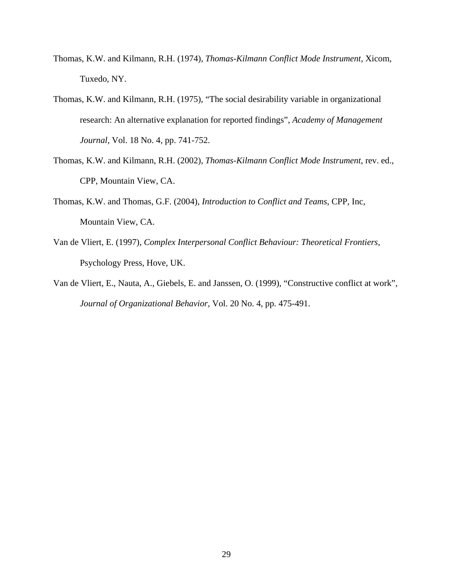- Thomas, K.W. and Kilmann, R.H. (1974), *Thomas-Kilmann Conflict Mode Instrument,* Xicom, Tuxedo, NY.
- Thomas, K.W. and Kilmann, R.H. (1975), "The social desirability variable in organizational research: An alternative explanation for reported findings", *Academy of Management Journal*, Vol. 18 No. 4, pp. 741-752.
- Thomas, K.W. and Kilmann, R.H. (2002), *Thomas-Kilmann Conflict Mode Instrument*, rev. ed., CPP, Mountain View, CA.
- Thomas, K.W. and Thomas, G.F. (2004), *Introduction to Conflict and Teams*, CPP, Inc, Mountain View, CA.
- Van de Vliert, E. (1997), *Complex Interpersonal Conflict Behaviour: Theoretical Frontiers,* Psychology Press, Hove, UK.
- Van de Vliert, E., Nauta, A., Giebels, E. and Janssen, O. (1999), "Constructive conflict at work", *Journal of Organizational Behavior,* Vol. 20 No. 4, pp. 475-491.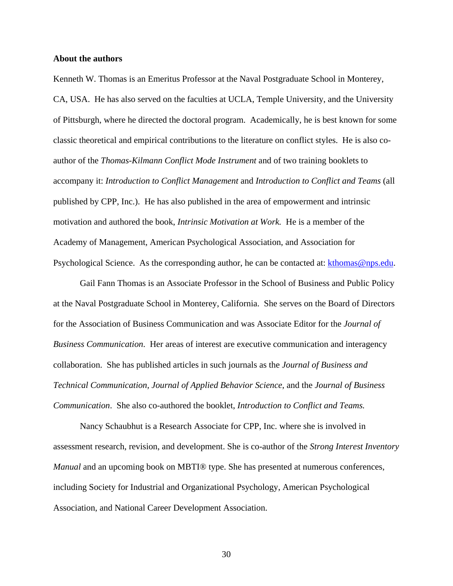## **About the authors**

Kenneth W. Thomas is an Emeritus Professor at the Naval Postgraduate School in Monterey, CA, USA. He has also served on the faculties at UCLA, Temple University, and the University of Pittsburgh, where he directed the doctoral program. Academically, he is best known for some classic theoretical and empirical contributions to the literature on conflict styles. He is also coauthor of the *Thomas-Kilmann Conflict Mode Instrument* and of two training booklets to accompany it: *Introduction to Conflict Management* and *Introduction to Conflict and Teams* (all published by CPP, Inc.). He has also published in the area of empowerment and intrinsic motivation and authored the book, *Intrinsic Motivation at Work.* He is a member of the Academy of Management, American Psychological Association, and Association for Psychological Science. As the corresponding author, he can be contacted at: kthomas@nps.edu.

 Gail Fann Thomas is an Associate Professor in the School of Business and Public Policy at the Naval Postgraduate School in Monterey, California. She serves on the Board of Directors for the Association of Business Communication and was Associate Editor for the *Journal of Business Communication*. Her areas of interest are executive communication and interagency collaboration. She has published articles in such journals as the *Journal of Business and Technical Communication, Journal of Applied Behavior Science*, and the *Journal of Business Communication*. She also co-authored the booklet, *Introduction to Conflict and Teams.*

 Nancy Schaubhut is a Research Associate for CPP, Inc. where she is involved in assessment research, revision, and development. She is co-author of the *Strong Interest Inventory Manual* and an upcoming book on MBTI® type. She has presented at numerous conferences, including Society for Industrial and Organizational Psychology, American Psychological Association, and National Career Development Association.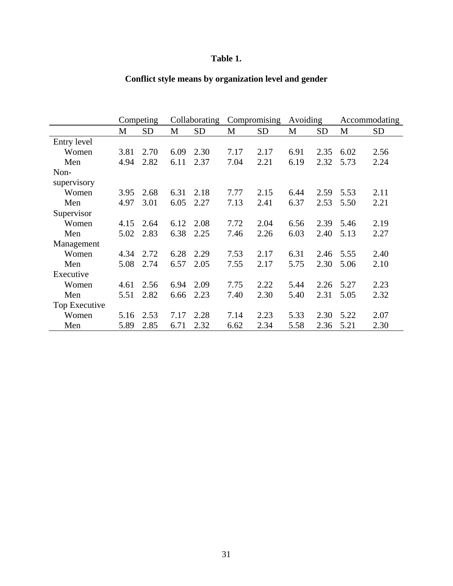# **Table 1.**

|               | Competing |           | Collaborating |           | Compromising |      | Avoiding |           | Accommodating |           |
|---------------|-----------|-----------|---------------|-----------|--------------|------|----------|-----------|---------------|-----------|
|               | M         | <b>SD</b> | M             | <b>SD</b> | M            | SD   | M        | <b>SD</b> | M             | <b>SD</b> |
| Entry level   |           |           |               |           |              |      |          |           |               |           |
| Women         | 3.81      | 2.70      | 6.09          | 2.30      | 7.17         | 2.17 | 6.91     | 2.35      | 6.02          | 2.56      |
| Men           | 4.94      | 2.82      | 6.11          | 2.37      | 7.04         | 2.21 | 6.19     | 2.32      | 5.73          | 2.24      |
| Non-          |           |           |               |           |              |      |          |           |               |           |
| supervisory   |           |           |               |           |              |      |          |           |               |           |
| Women         | 3.95      | 2.68      | 6.31          | 2.18      | 7.77         | 2.15 | 6.44     | 2.59      | 5.53          | 2.11      |
| Men           | 4.97      | 3.01      | 6.05          | 2.27      | 7.13         | 2.41 | 6.37     | 2.53      | 5.50          | 2.21      |
| Supervisor    |           |           |               |           |              |      |          |           |               |           |
| Women         | 4.15      | 2.64      | 6.12          | 2.08      | 7.72         | 2.04 | 6.56     | 2.39      | 5.46          | 2.19      |
| Men           | 5.02      | 2.83      | 6.38          | 2.25      | 7.46         | 2.26 | 6.03     | 2.40      | 5.13          | 2.27      |
| Management    |           |           |               |           |              |      |          |           |               |           |
| Women         | 4.34      | 2.72      | 6.28          | 2.29      | 7.53         | 2.17 | 6.31     | 2.46      | 5.55          | 2.40      |
| Men           | 5.08      | 2.74      | 6.57          | 2.05      | 7.55         | 2.17 | 5.75     | 2.30      | 5.06          | 2.10      |
| Executive     |           |           |               |           |              |      |          |           |               |           |
| Women         | 4.61      | 2.56      | 6.94          | 2.09      | 7.75         | 2.22 | 5.44     | 2.26      | 5.27          | 2.23      |
| Men           | 5.51      | 2.82      | 6.66          | 2.23      | 7.40         | 2.30 | 5.40     | 2.31      | 5.05          | 2.32      |
| Top Executive |           |           |               |           |              |      |          |           |               |           |
| Women         | 5.16      | 2.53      | 7.17          | 2.28      | 7.14         | 2.23 | 5.33     | 2.30      | 5.22          | 2.07      |
| Men           | 5.89      | 2.85      | 6.71          | 2.32      | 6.62         | 2.34 | 5.58     | 2.36      | 5.21          | 2.30      |

# **Conflict style means by organization level and gender**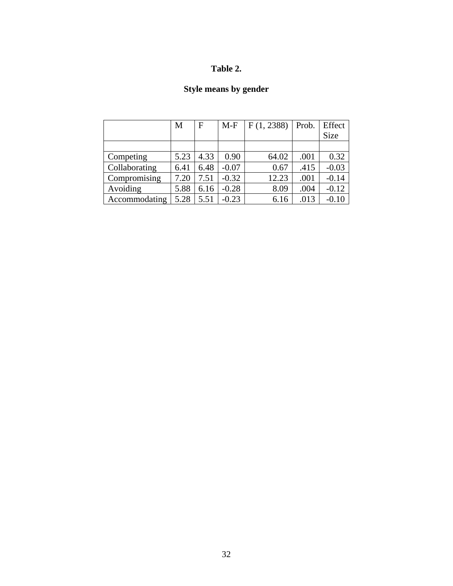# **Table 2.**

# **Style means by gender**

|               | M    | F    | $M-F$   | F(1, 2388) | Prob. | Effect<br><b>Size</b> |
|---------------|------|------|---------|------------|-------|-----------------------|
|               |      |      |         |            |       |                       |
| Competing     | 5.23 | 4.33 | 0.90    | 64.02      | .001  | 0.32                  |
| Collaborating | 6.41 | 6.48 | $-0.07$ | 0.67       | .415  | $-0.03$               |
| Compromising  | 7.20 | 7.51 | $-0.32$ | 12.23      | .001  | $-0.14$               |
| Avoiding      | 5.88 | 6.16 | $-0.28$ | 8.09       | .004  | $-0.12$               |
| Accommodating | 5.28 | 5.51 | $-0.23$ | 6.16       | .013  | $-0.10$               |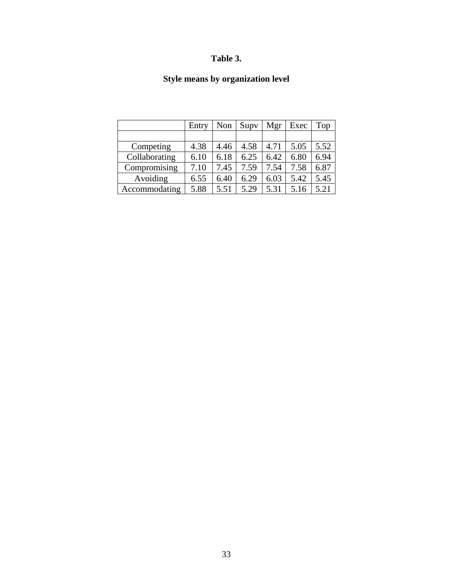# **Table 3.**

# **Style means by organization level**

|               | Entry | Non  | Supv | Mgr  | Exec | Top  |
|---------------|-------|------|------|------|------|------|
|               |       |      |      |      |      |      |
| Competing     | 4.38  | 4.46 | 4.58 | 4.71 | 5.05 | 5.52 |
| Collaborating | 6.10  | 6.18 | 6.25 | 6.42 | 6.80 | 6.94 |
| Compromising  | 7.10  | 7.45 | 7.59 | 7.54 | 7.58 | 6.87 |
| Avoiding      | 6.55  | 6.40 | 6.29 | 6.03 | 5.42 | 5.45 |
| Accommodating | 5.88  | 5.51 | 5.29 | 5.31 | 5.16 | 5.21 |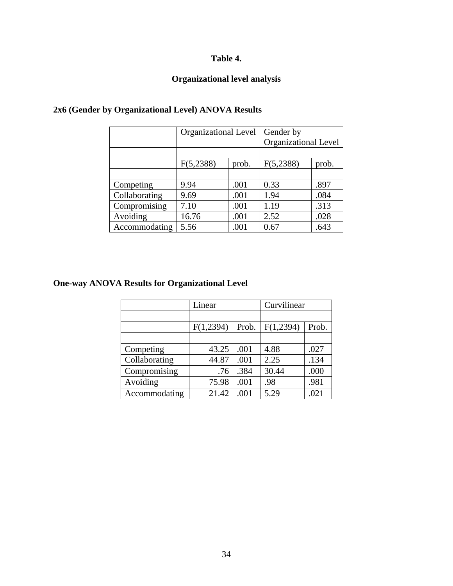# **Table 4.**

# **Organizational level analysis**

|               | <b>Organizational Level</b> |       | Gender by                   |       |  |
|---------------|-----------------------------|-------|-----------------------------|-------|--|
|               |                             |       | <b>Organizational Level</b> |       |  |
|               |                             |       |                             |       |  |
|               | F(5,2388)                   | prob. | F(5,2388)                   | prob. |  |
|               |                             |       |                             |       |  |
| Competing     | 9.94                        | .001  | 0.33                        | .897  |  |
| Collaborating | 9.69                        | .001  | 1.94                        | .084  |  |
| Compromising  | 7.10                        | .001  | 1.19                        | .313  |  |
| Avoiding      | 16.76                       | .001  | 2.52                        | .028  |  |
| Accommodating | 5.56                        | .001  | 0.67                        | .643  |  |

# **2x6 (Gender by Organizational Level) ANOVA Results**

# **One-way ANOVA Results for Organizational Level**

|               | Linear    |       | Curvilinear |       |  |
|---------------|-----------|-------|-------------|-------|--|
|               |           |       |             |       |  |
|               | F(1,2394) | Prob. | F(1,2394)   | Prob. |  |
|               |           |       |             |       |  |
| Competing     | 43.25     | .001  | 4.88        | .027  |  |
| Collaborating | 44.87     | .001  | 2.25        | .134  |  |
| Compromising  | .76       | .384  | 30.44       | .000  |  |
| Avoiding      | 75.98     | .001  | .98         | .981  |  |
| Accommodating | 21.42     | .001  | 5.29        | .021  |  |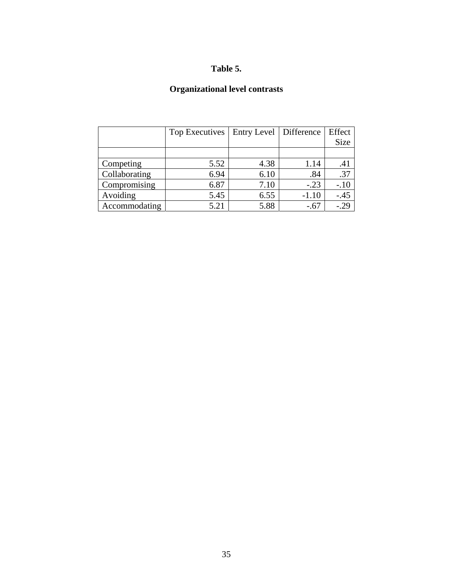# **Table 5.**

# **Organizational level contrasts**

|               | Top Executives | Entry Level   Difference |         | Effect |
|---------------|----------------|--------------------------|---------|--------|
|               |                |                          |         | Size   |
|               |                |                          |         |        |
| Competing     | 5.52           | 4.38                     | 1.14    | .41    |
| Collaborating | 6.94           | 6.10                     | .84     | .37    |
| Compromising  | 6.87           | 7.10                     | $-.23$  | $-.10$ |
| Avoiding      | 5.45           | 6.55                     | $-1.10$ | $-.45$ |
| Accommodating | 5.21           | 5.88                     | $-.67$  | $-.29$ |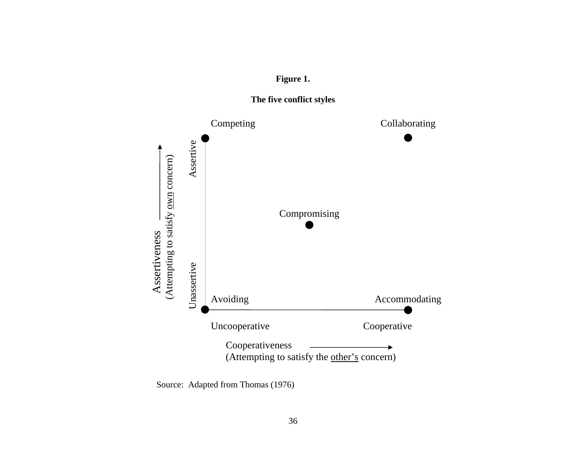





Source: Adapted from Thomas (1976)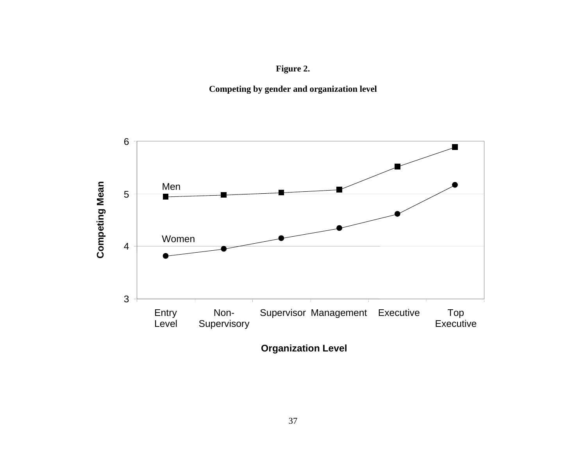